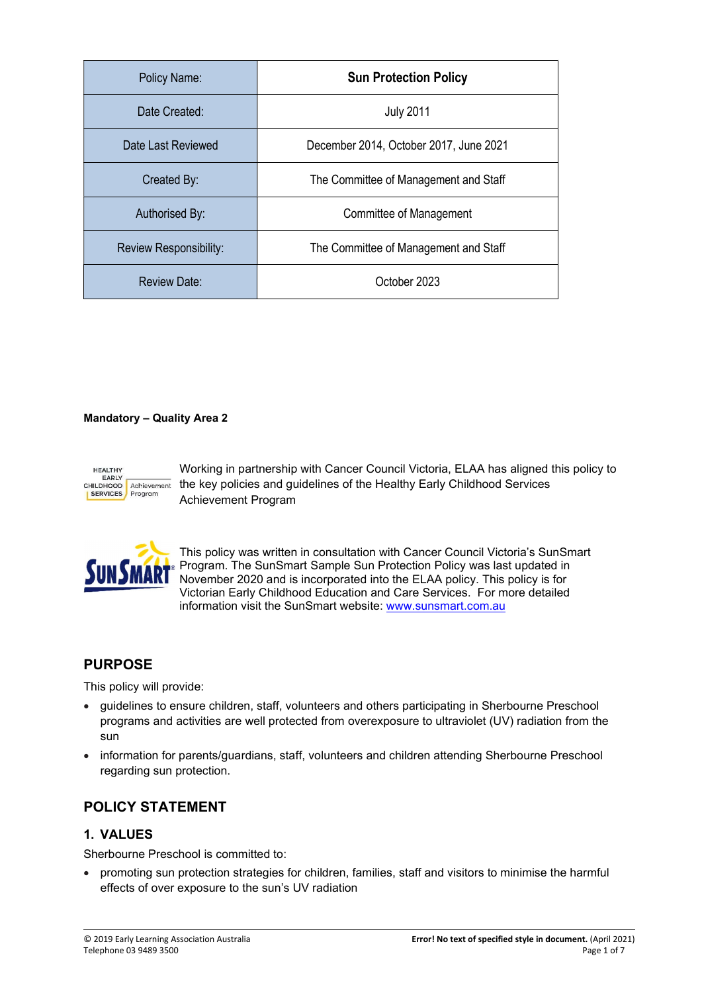| Policy Name:           | <b>Sun Protection Policy</b>           |
|------------------------|----------------------------------------|
| Date Created:          | <b>July 2011</b>                       |
| Date Last Reviewed     | December 2014, October 2017, June 2021 |
| Created By:            | The Committee of Management and Staff  |
| Authorised By:         | Committee of Management                |
| Review Responsibility: | The Committee of Management and Staff  |
| <b>Review Date:</b>    | October 2023                           |

### Mandatory – Quality Area 2



Working in partnership with Cancer Council Victoria, ELAA has aligned this policy to EARLY EARLY Achievement the key policies and guidelines of the Healthy Early Childhood Services Achievement Program



This policy was written in consultation with Cancer Council Victoria's SunSmart Program. The SunSmart Sample Sun Protection Policy was last updated in November 2020 and is incorporated into the ELAA policy. This policy is for Victorian Early Childhood Education and Care Services. For more detailed information visit the SunSmart website: www.sunsmart.com.au

# PURPOSE

This policy will provide:

- guidelines to ensure children, staff, volunteers and others participating in Sherbourne Preschool programs and activities are well protected from overexposure to ultraviolet (UV) radiation from the sun
- information for parents/guardians, staff, volunteers and children attending Sherbourne Preschool regarding sun protection.

# POLICY STATEMENT

## 1. VALUES

Sherbourne Preschool is committed to:

 promoting sun protection strategies for children, families, staff and visitors to minimise the harmful effects of over exposure to the sun's UV radiation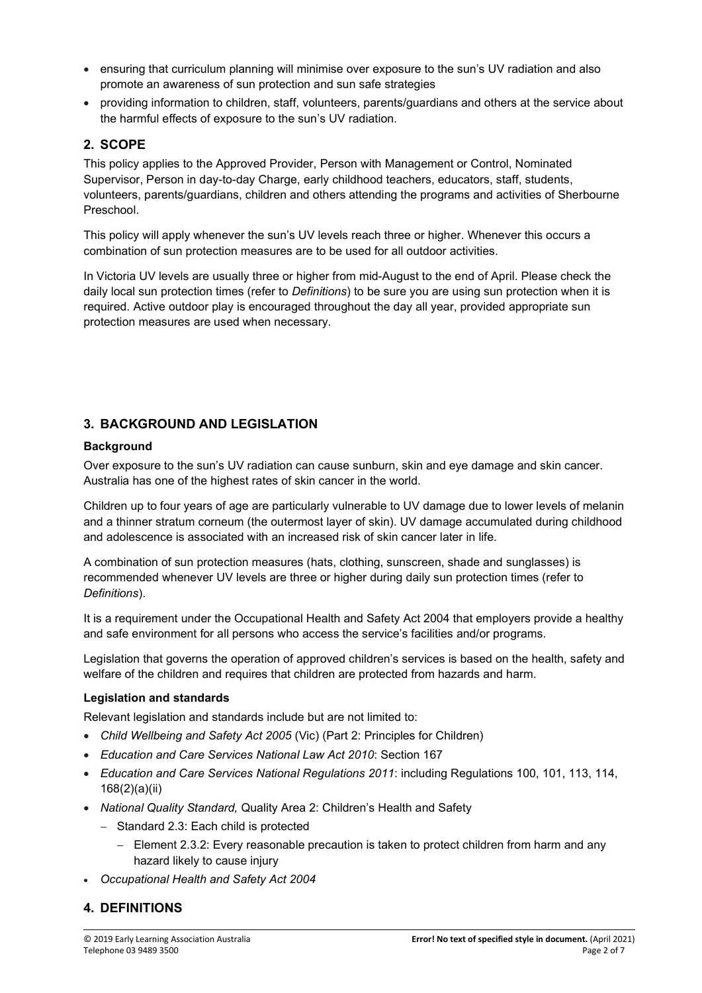- ensuring that curriculum planning will minimise over exposure to the sun's UV radiation and also promote an awareness of sun protection and sun safe strategies
- providing information to children, staff, volunteers, parents/guardians and others at the service about the harmful effects of exposure to the sun's UV radiation.

## 2. SCOPE

This policy applies to the Approved Provider, Person with Management or Control, Nominated Supervisor, Person in day-to-day Charge, early childhood teachers, educators, staff, students, volunteers, parents/guardians, children and others attending the programs and activities of Sherbourne Preschool.

This policy will apply whenever the sun's UV levels reach three or higher. Whenever this occurs a combination of sun protection measures are to be used for all outdoor activities.

In Victoria UV levels are usually three or higher from mid-August to the end of April. Please check the daily local sun protection times (refer to *Definitions*) to be sure you are using sun protection when it is required. Active outdoor play is encouraged throughout the day all year, provided appropriate sun protection measures are used when necessary.

## 3. BACKGROUND AND LEGISLATION

### **Background**

Over exposure to the sun's UV radiation can cause sunburn, skin and eye damage and skin cancer. Australia has one of the highest rates of skin cancer in the world.

Children up to four years of age are particularly vulnerable to UV damage due to lower levels of melanin and a thinner stratum corneum (the outermost layer of skin). UV damage accumulated during childhood and adolescence is associated with an increased risk of skin cancer later in life.

A combination of sun protection measures (hats, clothing, sunscreen, shade and sunglasses) is recommended whenever UV levels are three or higher during daily sun protection times (refer to Definitions).

It is a requirement under the Occupational Health and Safety Act 2004 that employers provide a healthy and safe environment for all persons who access the service's facilities and/or programs.

Legislation that governs the operation of approved children's services is based on the health, safety and welfare of the children and requires that children are protected from hazards and harm.

#### Legislation and standards

Relevant legislation and standards include but are not limited to:

- Child Wellbeing and Safety Act 2005 (Vic) (Part 2: Principles for Children)
- **Education and Care Services National Law Act 2010: Section 167**
- Education and Care Services National Regulations 2011: including Regulations 100, 101, 113, 114, 168(2)(a)(ii)
- National Quality Standard, Quality Area 2: Children's Health and Safety
	- Standard 2.3: Each child is protected
		- Element 2.3.2: Every reasonable precaution is taken to protect children from harm and any hazard likely to cause injury
- Occupational Health and Safety Act 2004

# 4. DEFINITIONS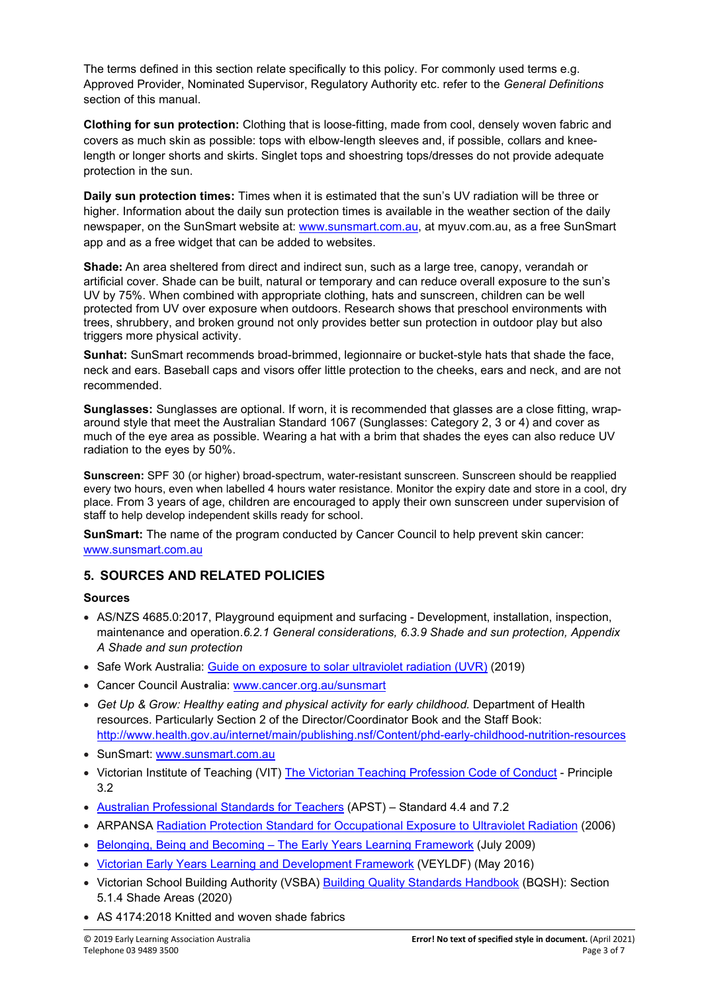The terms defined in this section relate specifically to this policy. For commonly used terms e.g. Approved Provider, Nominated Supervisor, Regulatory Authority etc. refer to the General Definitions section of this manual.

Clothing for sun protection: Clothing that is loose-fitting, made from cool, densely woven fabric and covers as much skin as possible: tops with elbow-length sleeves and, if possible, collars and kneelength or longer shorts and skirts. Singlet tops and shoestring tops/dresses do not provide adequate protection in the sun.

Daily sun protection times: Times when it is estimated that the sun's UV radiation will be three or higher. Information about the daily sun protection times is available in the weather section of the daily newspaper, on the SunSmart website at: www.sunsmart.com.au, at myuv.com.au, as a free SunSmart app and as a free widget that can be added to websites.

Shade: An area sheltered from direct and indirect sun, such as a large tree, canopy, verandah or artificial cover. Shade can be built, natural or temporary and can reduce overall exposure to the sun's UV by 75%. When combined with appropriate clothing, hats and sunscreen, children can be well protected from UV over exposure when outdoors. Research shows that preschool environments with trees, shrubbery, and broken ground not only provides better sun protection in outdoor play but also triggers more physical activity.

Sunhat: SunSmart recommends broad-brimmed, legionnaire or bucket-style hats that shade the face, neck and ears. Baseball caps and visors offer little protection to the cheeks, ears and neck, and are not recommended.

Sunglasses: Sunglasses are optional. If worn, it is recommended that glasses are a close fitting, wraparound style that meet the Australian Standard 1067 (Sunglasses: Category 2, 3 or 4) and cover as much of the eye area as possible. Wearing a hat with a brim that shades the eyes can also reduce UV radiation to the eyes by 50%.

Sunscreen: SPF 30 (or higher) broad-spectrum, water-resistant sunscreen. Sunscreen should be reapplied every two hours, even when labelled 4 hours water resistance. Monitor the expiry date and store in a cool, dry place. From 3 years of age, children are encouraged to apply their own sunscreen under supervision of staff to help develop independent skills ready for school.

SunSmart: The name of the program conducted by Cancer Council to help prevent skin cancer: www.sunsmart.com.au

# 5. SOURCES AND RELATED POLICIES

#### Sources

- AS/NZS 4685.0:2017, Playground equipment and surfacing Development, installation, inspection, maintenance and operation.6.2.1 General considerations, 6.3.9 Shade and sun protection, Appendix A Shade and sun protection
- Safe Work Australia: Guide on exposure to solar ultraviolet radiation (UVR) (2019)
- Cancer Council Australia: www.cancer.org.au/sunsmart
- Get Up & Grow: Healthy eating and physical activity for early childhood. Department of Health resources. Particularly Section 2 of the Director/Coordinator Book and the Staff Book: http://www.health.gov.au/internet/main/publishing.nsf/Content/phd-early-childhood-nutrition-resources
- SunSmart: www.sunsmart.com.au
- Victorian Institute of Teaching (VIT) The Victorian Teaching Profession Code of Conduct Principle 3.2
- Australian Professional Standards for Teachers (APST) Standard 4.4 and 7.2
- ARPANSA Radiation Protection Standard for Occupational Exposure to Ultraviolet Radiation (2006)
- Belonging, Being and Becoming The Early Years Learning Framework (July 2009)
- Victorian Early Years Learning and Development Framework (VEYLDF) (May 2016)
- Victorian School Building Authority (VSBA) Building Quality Standards Handbook (BQSH): Section 5.1.4 Shade Areas (2020)
- AS 4174:2018 Knitted and woven shade fabrics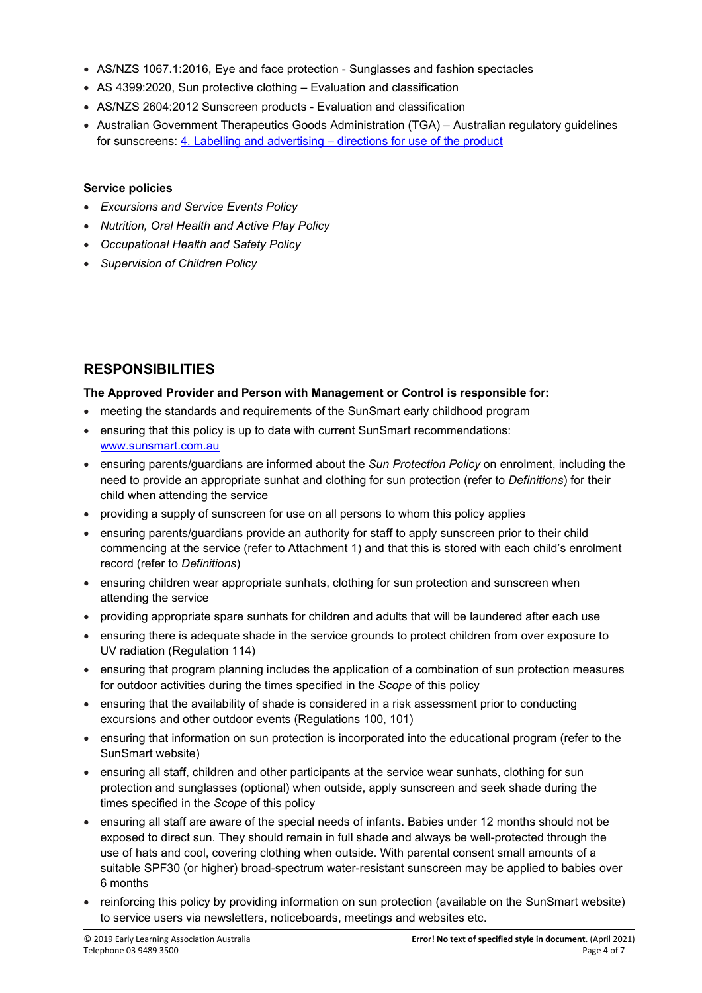- AS/NZS 1067.1:2016, Eye and face protection Sunglasses and fashion spectacles
- AS 4399:2020, Sun protective clothing Evaluation and classification
- AS/NZS 2604:2012 Sunscreen products Evaluation and classification
- Australian Government Therapeutics Goods Administration (TGA) Australian regulatory guidelines for sunscreens: 4. Labelling and advertising – directions for use of the product

#### Service policies

- Excursions and Service Events Policy
- Nutrition, Oral Health and Active Play Policy
- Occupational Health and Safety Policy
- Supervision of Children Policy

# RESPONSIBILITIES

#### The Approved Provider and Person with Management or Control is responsible for:

- meeting the standards and requirements of the SunSmart early childhood program
- ensuring that this policy is up to date with current SunSmart recommendations: www.sunsmart.com.au
- ensuring parents/guardians are informed about the Sun Protection Policy on enrolment, including the need to provide an appropriate sunhat and clothing for sun protection (refer to Definitions) for their child when attending the service
- providing a supply of sunscreen for use on all persons to whom this policy applies
- ensuring parents/guardians provide an authority for staff to apply sunscreen prior to their child commencing at the service (refer to Attachment 1) and that this is stored with each child's enrolment record (refer to Definitions)
- ensuring children wear appropriate sunhats, clothing for sun protection and sunscreen when attending the service
- providing appropriate spare sunhats for children and adults that will be laundered after each use
- ensuring there is adequate shade in the service grounds to protect children from over exposure to UV radiation (Regulation 114)
- ensuring that program planning includes the application of a combination of sun protection measures for outdoor activities during the times specified in the Scope of this policy
- ensuring that the availability of shade is considered in a risk assessment prior to conducting excursions and other outdoor events (Regulations 100, 101)
- ensuring that information on sun protection is incorporated into the educational program (refer to the SunSmart website)
- ensuring all staff, children and other participants at the service wear sunhats, clothing for sun protection and sunglasses (optional) when outside, apply sunscreen and seek shade during the times specified in the Scope of this policy
- ensuring all staff are aware of the special needs of infants. Babies under 12 months should not be exposed to direct sun. They should remain in full shade and always be well-protected through the use of hats and cool, covering clothing when outside. With parental consent small amounts of a suitable SPF30 (or higher) broad-spectrum water-resistant sunscreen may be applied to babies over 6 months
- reinforcing this policy by providing information on sun protection (available on the SunSmart website) to service users via newsletters, noticeboards, meetings and websites etc.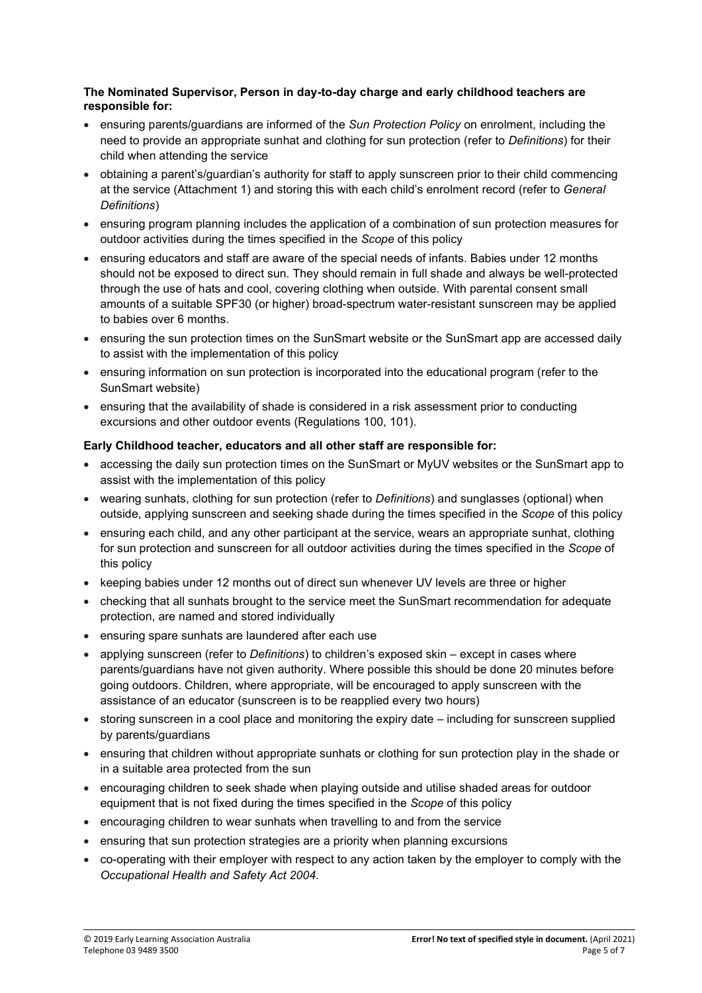### The Nominated Supervisor, Person in day-to-day charge and early childhood teachers are responsible for:

- ensuring parents/guardians are informed of the Sun Protection Policy on enrolment, including the need to provide an appropriate sunhat and clothing for sun protection (refer to Definitions) for their child when attending the service
- obtaining a parent's/guardian's authority for staff to apply sunscreen prior to their child commencing at the service (Attachment 1) and storing this with each child's enrolment record (refer to General Definitions)
- ensuring program planning includes the application of a combination of sun protection measures for outdoor activities during the times specified in the Scope of this policy
- ensuring educators and staff are aware of the special needs of infants. Babies under 12 months should not be exposed to direct sun. They should remain in full shade and always be well-protected through the use of hats and cool, covering clothing when outside. With parental consent small amounts of a suitable SPF30 (or higher) broad-spectrum water-resistant sunscreen may be applied to babies over 6 months.
- ensuring the sun protection times on the SunSmart website or the SunSmart app are accessed daily to assist with the implementation of this policy
- ensuring information on sun protection is incorporated into the educational program (refer to the SunSmart website)
- ensuring that the availability of shade is considered in a risk assessment prior to conducting excursions and other outdoor events (Regulations 100, 101).

## Early Childhood teacher, educators and all other staff are responsible for:

- accessing the daily sun protection times on the SunSmart or MyUV websites or the SunSmart app to assist with the implementation of this policy
- wearing sunhats, clothing for sun protection (refer to Definitions) and sunglasses (optional) when outside, applying sunscreen and seeking shade during the times specified in the Scope of this policy
- ensuring each child, and any other participant at the service, wears an appropriate sunhat, clothing for sun protection and sunscreen for all outdoor activities during the times specified in the Scope of this policy
- keeping babies under 12 months out of direct sun whenever UV levels are three or higher
- checking that all sunhats brought to the service meet the SunSmart recommendation for adequate protection, are named and stored individually
- ensuring spare sunhats are laundered after each use
- applying sunscreen (refer to Definitions) to children's exposed skin except in cases where parents/guardians have not given authority. Where possible this should be done 20 minutes before going outdoors. Children, where appropriate, will be encouraged to apply sunscreen with the assistance of an educator (sunscreen is to be reapplied every two hours)
- storing sunscreen in a cool place and monitoring the expiry date including for sunscreen supplied by parents/guardians
- ensuring that children without appropriate sunhats or clothing for sun protection play in the shade or in a suitable area protected from the sun
- encouraging children to seek shade when playing outside and utilise shaded areas for outdoor equipment that is not fixed during the times specified in the Scope of this policy
- encouraging children to wear sunhats when travelling to and from the service
- ensuring that sun protection strategies are a priority when planning excursions
- co-operating with their employer with respect to any action taken by the employer to comply with the Occupational Health and Safety Act 2004.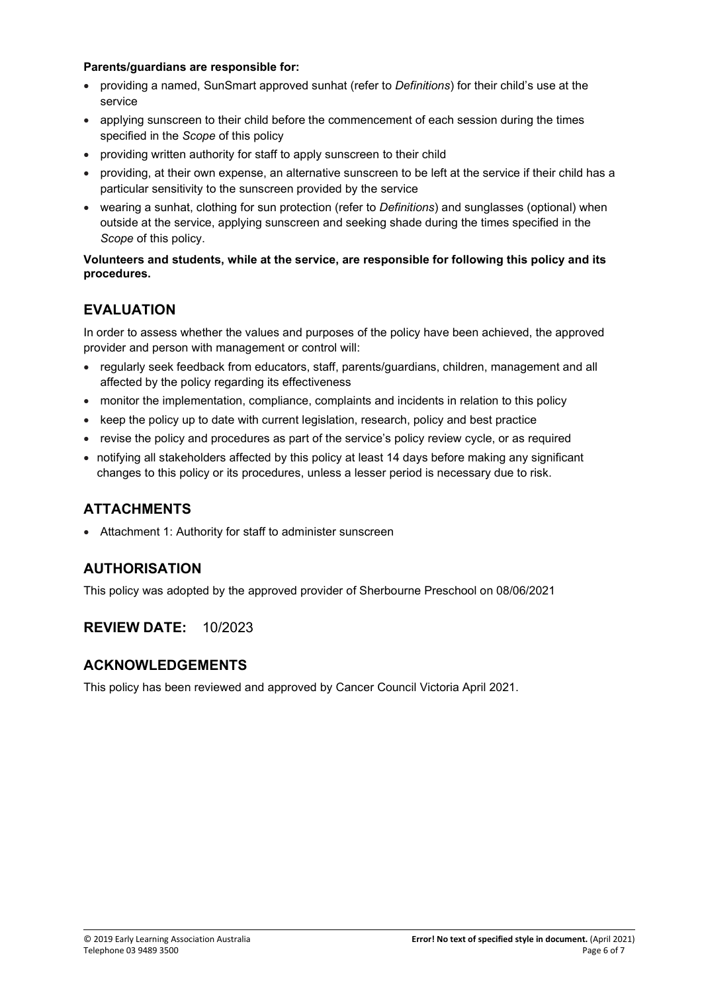#### Parents/guardians are responsible for:

- providing a named, SunSmart approved sunhat (refer to Definitions) for their child's use at the service
- applying sunscreen to their child before the commencement of each session during the times specified in the Scope of this policy
- providing written authority for staff to apply sunscreen to their child
- providing, at their own expense, an alternative sunscreen to be left at the service if their child has a particular sensitivity to the sunscreen provided by the service
- wearing a sunhat, clothing for sun protection (refer to Definitions) and sunglasses (optional) when outside at the service, applying sunscreen and seeking shade during the times specified in the Scope of this policy.

### Volunteers and students, while at the service, are responsible for following this policy and its procedures.

# **FVALUATION**

In order to assess whether the values and purposes of the policy have been achieved, the approved provider and person with management or control will:

- regularly seek feedback from educators, staff, parents/guardians, children, management and all affected by the policy regarding its effectiveness
- monitor the implementation, compliance, complaints and incidents in relation to this policy
- keep the policy up to date with current legislation, research, policy and best practice
- revise the policy and procedures as part of the service's policy review cycle, or as required
- notifying all stakeholders affected by this policy at least 14 days before making any significant changes to this policy or its procedures, unless a lesser period is necessary due to risk.

# ATTACHMENTS

Attachment 1: Authority for staff to administer sunscreen

# AUTHORISATION

This policy was adopted by the approved provider of Sherbourne Preschool on 08/06/2021

# REVIEW DATE: 10/2023

# ACKNOWLEDGEMENTS

This policy has been reviewed and approved by Cancer Council Victoria April 2021.